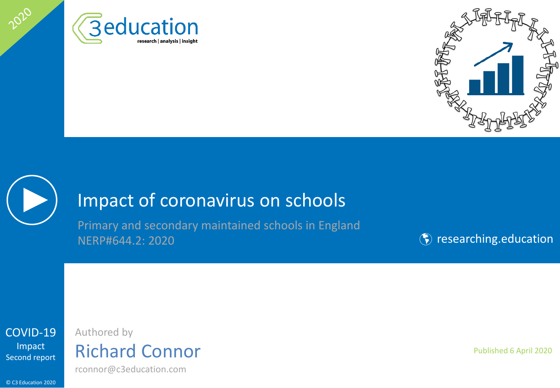





2020

## Impact of coronavirus on schools

Primary and secondary maintained schools in England NERP#644.2: 2020

**(\*)** [researching.education](http://www.researching.education/)



## Authored by Richard Connor

rconnor@c3education.com

© C3 Education 2020

Published 6 April 2020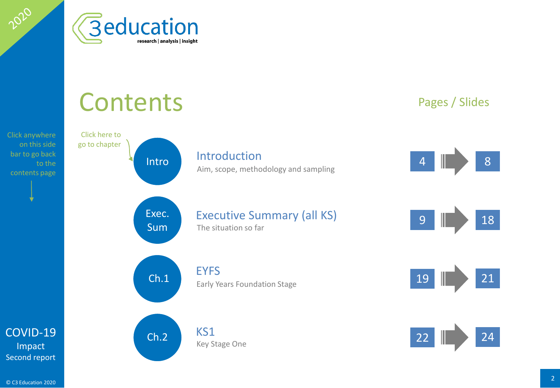

## [Intro](#page-3-0)duction 4 8 Pages / Slides [Exec.](#page-8-0)  Sum Executive Summary (all KS) 9 18 18  $\begin{array}{|c|c|c|c|c|}\n\hline\n\text{Ch.1} & \text{EYFS} \\
\hline\n\text{Farly Years Foundation Stage} & & & 19 & & 21\n\end{array}$  $\begin{array}{|c|c|c|c|c|}\n\hline\n\text{Ch.1} & \text{EYFS} \\
\hline\n\text{Farly Years Foundation Stage} & & & 19 & & 21\n\end{array}$  $\begin{array}{|c|c|c|c|c|}\n\hline\n\text{Ch.1} & \text{EYFS} \\
\hline\n\text{Farly Years Foundation Stage} & & & 19 & & 21\n\end{array}$ [Ch.2](#page-20-0)  $KSI$ Click here to go to chapter **Contents** contents page and sampling and sampling and sampling and sampling and sampling contents page The situation so far Early Years Foundation Stage Key Stage One

Click anywhere on this side bar to go back to the

<span id="page-1-0"></span>2020

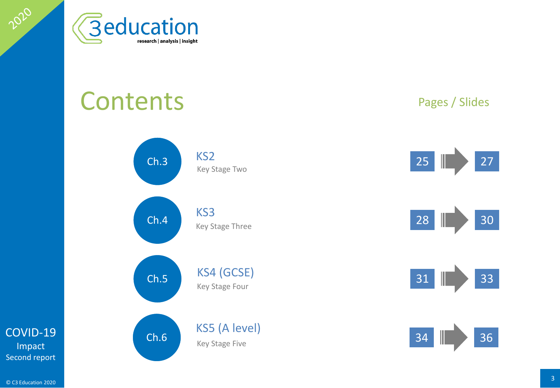

# **Contents**



## Pages / Slides









[COVID-19](#page-1-0) Impact Second report

2020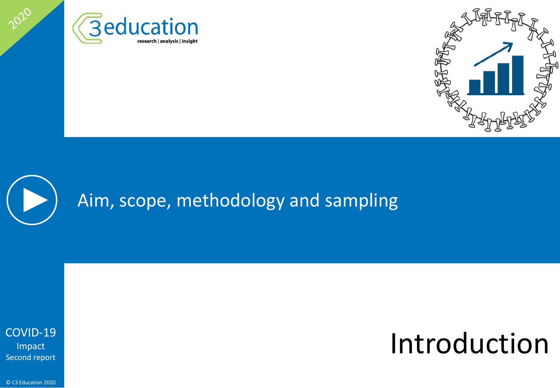



# Aim, scope, methodology and sampling

[COVID-19](#page-1-0) Impact Second report

<span id="page-3-0"></span>2020

# Introduction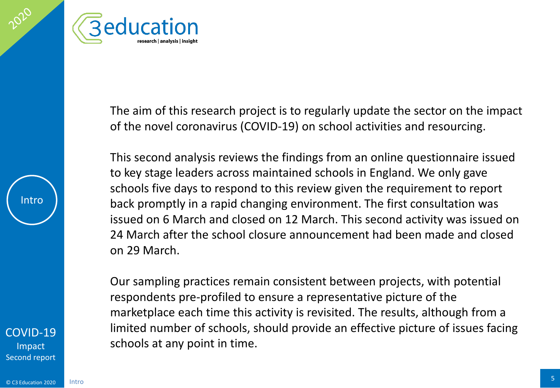



The aim of this research project is to regularly update the sector on the impact of the novel coronavirus (COVID-19) on school activities and resourcing.

This second analysis reviews the findings from an online questionnaire issued to key stage leaders across maintained schools in England. We only gave schools five days to respond to this review given the requirement to report back promptly in a rapid changing environment. The first consultation was issued on 6 March and closed on 12 March. This second activity was issued on 24 March after the school closure announcement had been made and closed on 29 March.

Our sampling practices remain consistent between projects, with potential respondents pre-profiled to ensure a representative picture of the marketplace each time this activity is revisited. The results, although from a limited number of schools, should provide an effective picture of issues facing schools at any point in time.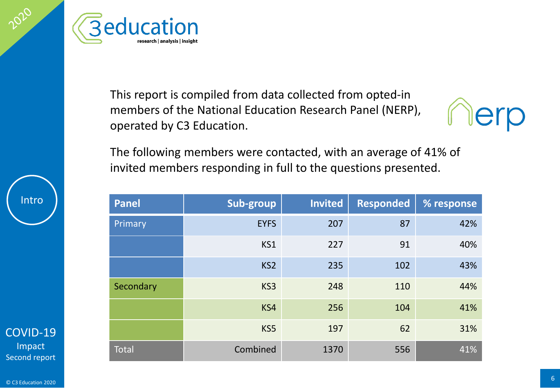

This report is compiled from data collected from opted-in members of the National Education Research Panel (NERP), operated by C3 Education.



The following members were contacted, with an average of 41% of invited members responding in full to the questions presented.

| <b>Panel</b> | Sub-group       | <b>Invited</b> | <b>Responded</b> | % response |
|--------------|-----------------|----------------|------------------|------------|
| Primary      | <b>EYFS</b>     | 207            | 87               | 42%        |
|              | KS1             | 227            | 91               | 40%        |
|              | KS <sub>2</sub> | 235            | 102              | 43%        |
| Secondary    | KS3             | 248            | 110              | 44%        |
|              | KS4             | 256            | 104              | 41%        |
|              | KS5             | 197            | 62               | 31%        |
| Total        | Combined        | 1370           | 556              | 41%        |

Intro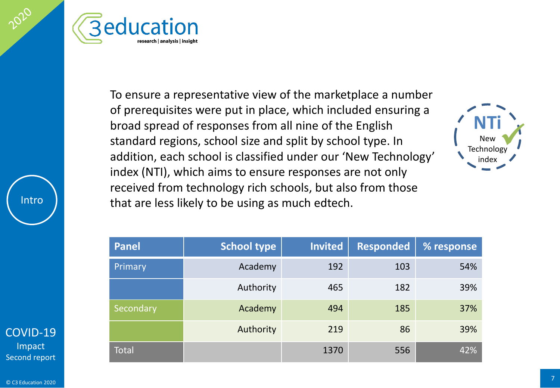



To ensure a representative view of the marketplace a number of prerequisites were put in place, which included ensuring a broad spread of responses from all nine of the English standard regions, school size and split by school type. In addition, each school is classified under our 'New Technology' index (NTI), which aims to ensure responses are not only received from technology rich schools, but also from those that are less likely to be using as much edtech.



| <b>Panel</b> | <b>School type</b> | <b>Invited</b> | <b>Responded</b> | % response |
|--------------|--------------------|----------------|------------------|------------|
| Primary      | Academy            | 192            | 103              | 54%        |
|              | Authority          | 465            | 182              | 39%        |
| Secondary    | Academy            | 494            | 185              | 37%        |
|              | Authority          | 219            | 86               | 39%        |
| <b>Total</b> |                    | 1370           | 556              | 42%        |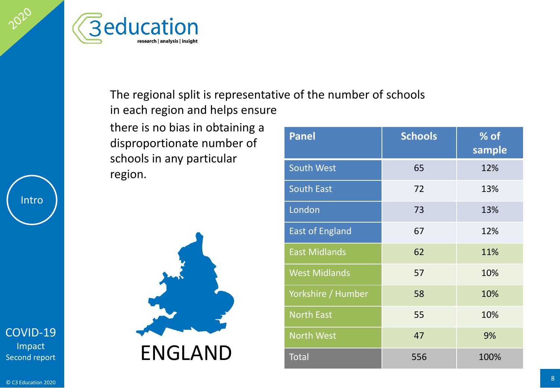



## The regional split is representative of the number of schools in each region and helps ensure

there is no bias in obtaining a disproportionate number of schools in any particular region.



| <b>Panel</b>           | <b>Schools</b> | % of<br>sample |
|------------------------|----------------|----------------|
| <b>South West</b>      | 65             | 12%            |
| <b>South East</b>      | 72             | 13%            |
| London                 | 73             | 13%            |
| <b>East of England</b> | 67             | 12%            |
| <b>East Midlands</b>   | 62             | 11%            |
| <b>West Midlands</b>   | 57             | 10%            |
| Yorkshire / Humber     | 58             | 10%            |
| <b>North East</b>      | 55             | 10%            |
| <b>North West</b>      | 47             | 9%             |
| <b>Total</b>           | 556            | 100%           |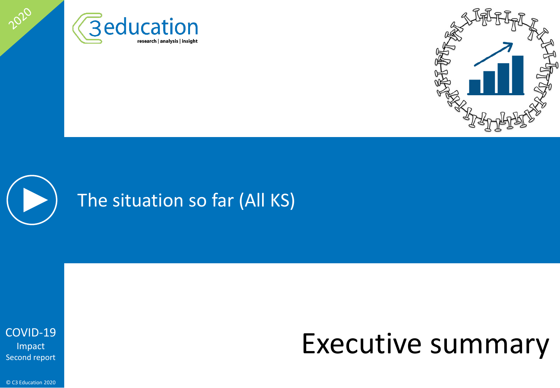





<span id="page-8-0"></span>2020

# Executive summary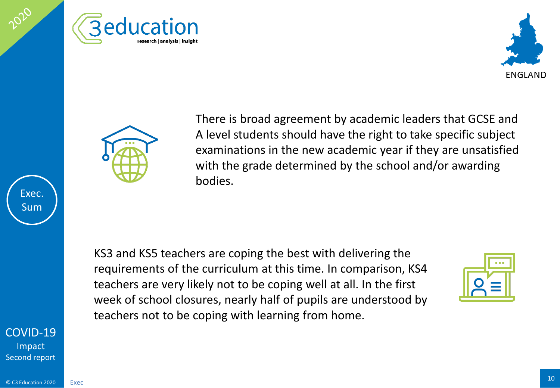





There is broad agreement by academic leaders that GCSE and A level students should have the right to take specific subject examinations in the new academic year if they are unsatisfied with the grade determined by the school and/or awarding bodies.

KS3 and KS5 teachers are coping the best with delivering the requirements of the curriculum at this time. In comparison, KS4 teachers are very likely not to be coping well at all. In the first week of school closures, nearly half of pupils are understood by teachers not to be coping with learning from home.



[COVID-19](#page-1-0) Impact Second report

Exec. Sum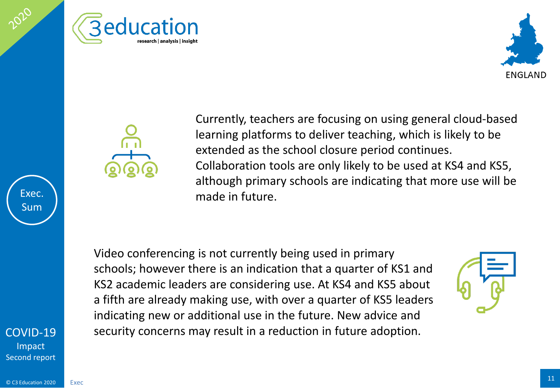





Currently, teachers are focusing on using general cloud-based learning platforms to deliver teaching, which is likely to be extended as the school closure period continues. Collaboration tools are only likely to be used at KS4 and KS5, although primary schools are indicating that more use will be made in future.

Video conferencing is not currently being used in primary schools; however there is an indication that a quarter of KS1 and KS2 academic leaders are considering use. At KS4 and KS5 about a fifth are already making use, with over a quarter of KS5 leaders indicating new or additional use in the future. New advice and security concerns may result in a reduction in future adoption.



[COVID-19](#page-1-0) Impact Second report

Exec. Sum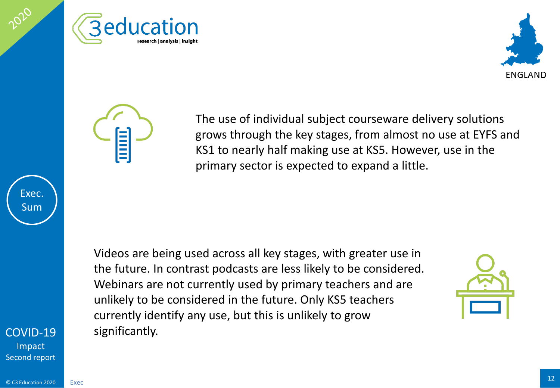





The use of individual subject courseware delivery solutions grows through the key stages, from almost no use at EYFS and KS1 to nearly half making use at KS5. However, use in the primary sector is expected to expand a little.

Videos are being used across all key stages, with greater use in the future. In contrast podcasts are less likely to be considered. Webinars are not currently used by primary teachers and are unlikely to be considered in the future. Only KS5 teachers currently identify any use, but this is unlikely to grow significantly.



[COVID-19](#page-1-0)

Exec. Sum

**Impact** Second report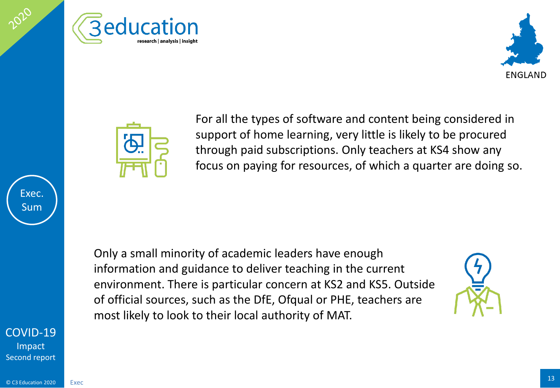





For all the types of software and content being considered in support of home learning, very little is likely to be procured through paid subscriptions. Only teachers at KS4 show any focus on paying for resources, of which a quarter are doing so.

Only a small minority of academic leaders have enough information and guidance to deliver teaching in the current environment. There is particular concern at KS2 and KS5. Outside of official sources, such as the DfE, Ofqual or PHE, teachers are most likely to look to their local authority of MAT.



[COVID-19](#page-1-0) Impact Second report

Exec. Sum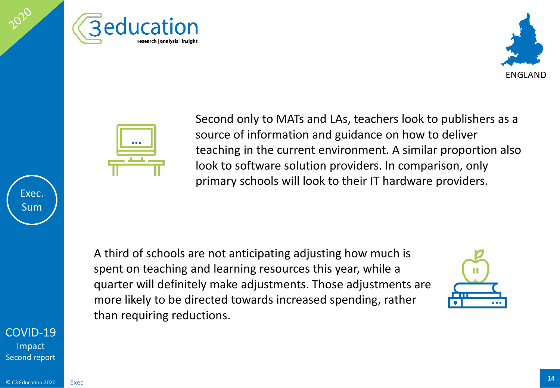





Second only to MATs and LAs, teachers look to publishers as a source of information and guidance on how to deliver teaching in the current environment. A similar proportion also look to software solution providers. In comparison, only primary schools will look to their IT hardware providers.

A third of schools are not anticipating adjusting how much is spent on teaching and learning resources this year, while a quarter will definitely make adjustments. Those adjustments are more likely to be directed towards increased spending, rather than requiring reductions.



[COVID-19](#page-1-0) **Impact** Second report

Exec. Sum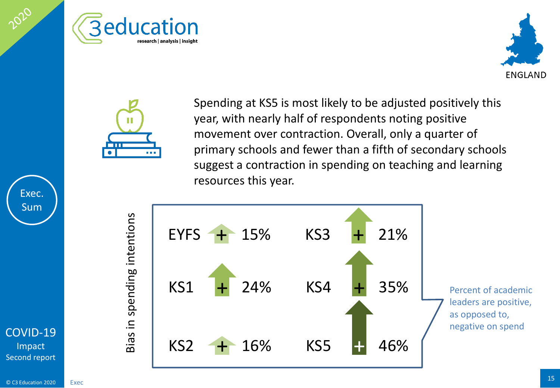





Spending at KS5 is most likely to be adjusted positively this year, with nearly half of respondents noting positive movement over contraction. Overall, only a quarter of primary schools and fewer than a fifth of secondary schools suggest a contraction in spending on teaching and learning resources this year.



Bias in spending intentions Bias in spending intentions

### $\overline{\textcirc}$  C3 Education 2020  $\overline{\text{Exec}}$  Exec Exec

[COVID-19](#page-1-0) Impact Second report

Exec. Sum

2020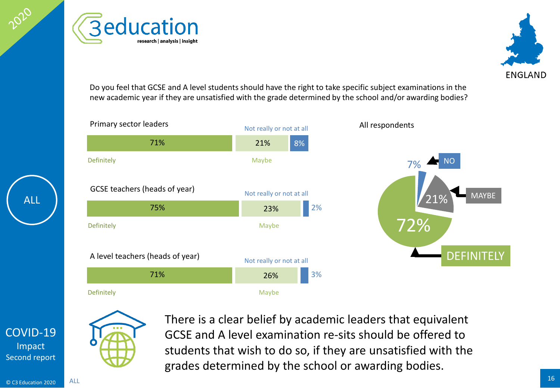**Beducation** research | analysis | insight



Do you feel that GCSE and A level students should have the right to take specific subject examinations in the new academic year if they are unsatisfied with the grade determined by the school and/or awarding bodies?





There is a clear belief by academic leaders that equivalent GCSE and A level examination re-sits should be offered to students that wish to do so, if they are unsatisfied with the grades determined by the school or awarding bodies.

[COVID-19](#page-1-0) Impact Second report

ALL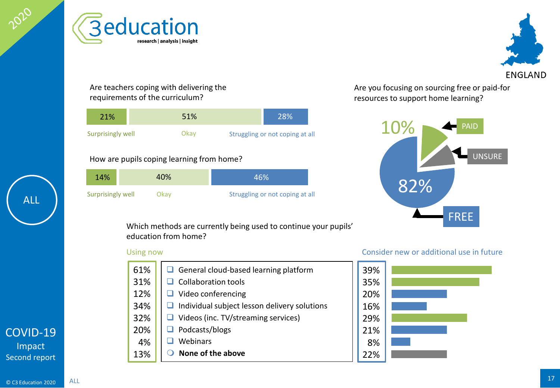







Are teachers coping with delivering the requirements of the curriculum?

| 21%               | 51%  | 28%                             |
|-------------------|------|---------------------------------|
| Surprisingly well | Okav | Struggling or not coping at all |

## How are pupils coping learning from home?

| 14%               | 40%  | 46%                             |     |
|-------------------|------|---------------------------------|-----|
| Surprisingly well | Dkav | Struggling or not coping at all | 82% |

Are you focusing on sourcing free or paid-for resources to support home learning?



Which methods are currently being used to continue your pupils' education from home?

| 61% | $\Box$ General cloud-based learning platform        |
|-----|-----------------------------------------------------|
| 31% | $\Box$ Collaboration tools                          |
| 12% | $\Box$ Video conferencing                           |
| 34% | $\Box$ Individual subject lesson delivery solutions |
| 32% | $\Box$ Videos (inc. TV/streaming services)          |
| 20% | $\Box$ Podcasts/blogs                               |
| 4%  | Webinars                                            |
| 13% | None of the above                                   |

### Using now Consider new or additional use in future

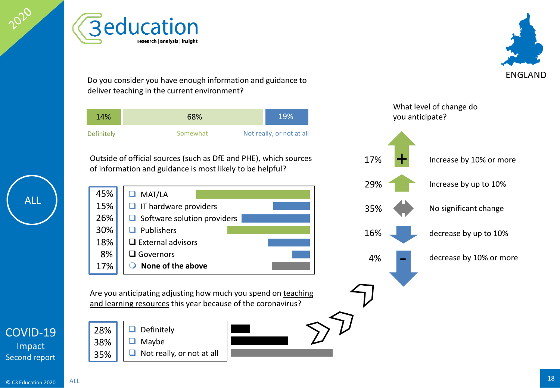



Do you consider you have enough information and guidance to deliver teaching in the current environment?

| 14%        | 68%      | 19%                       |
|------------|----------|---------------------------|
| Definitely | Somewhat | Not really, or not at all |

Outside of official sources (such as DfE and PHE), which sources of information and guidance is most likely to be helpful?



Are you anticipating adjusting how much you spend on teaching and learning resources this year because of the coronavirus?

28% 38% 35%





**ENGLAND**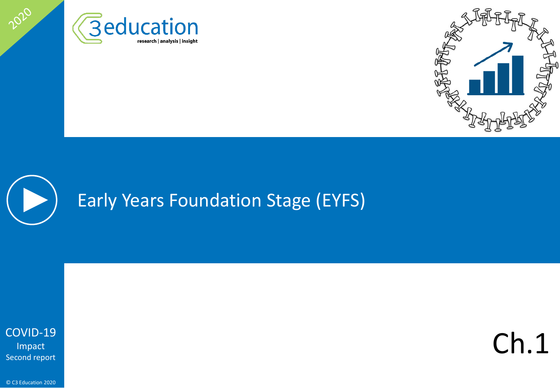





<span id="page-18-0"></span>2020

Ch.1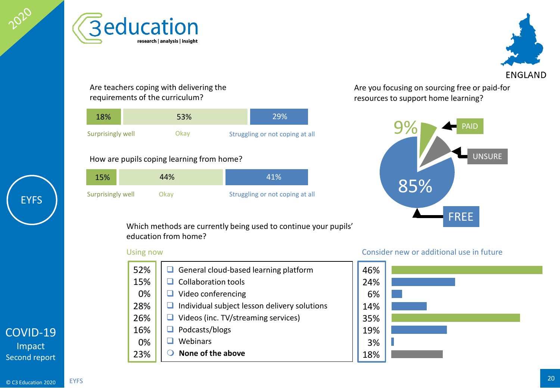







Are teachers coping with delivering the requirements of the curriculum?

| 18%               | 53%  | 29%                             |  |
|-------------------|------|---------------------------------|--|
| Surprisingly well | Okav | Struggling or not coping at all |  |

## How are pupils coping learning from home?

| 15%               | 44%  | 41%                             |     |
|-------------------|------|---------------------------------|-----|
| Surprisingly well | Jkav | Struggling or not coping at all | 85% |

Are you focusing on sourcing free or paid-for resources to support home learning?



Which methods are currently being used to continue your pupils' education from home?

| 52% | $\Box$ General cloud-based learning platform        |
|-----|-----------------------------------------------------|
| 15% | $\Box$ Collaboration tools                          |
| 0%  | Video conferencing                                  |
| 28% | $\Box$ Individual subject lesson delivery solutions |
| 26% | $\Box$ Videos (inc. TV/streaming services)          |
| 16% | Podcasts/blogs                                      |
| 0%  | Webinars                                            |
| 23% | None of the above                                   |

## Using now Consider new or additional use in future



 $\overline{\textcirc}$  C3 Education 2020  $\overline{\text{E} }$  EYFS  $\overline{\text{E}}$ EYFS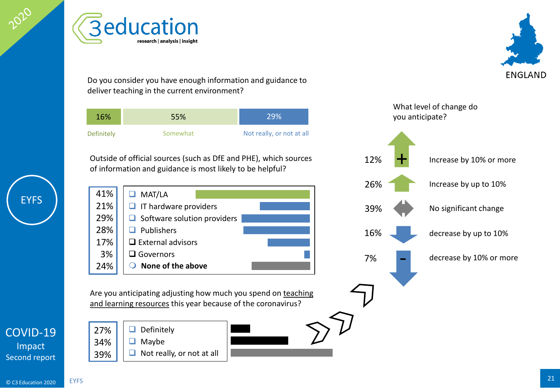<span id="page-20-0"></span>

**Beducation** research | analysis | insight

Do you consider you have enough information and guidance to deliver teaching in the current environment?

| 16%        | 55%      | 29%                       |
|------------|----------|---------------------------|
| Definitely | Somewhat | Not really, or not at all |

Outside of official sources (such as DfE and PHE), which sources of information and guidance is most likely to be helpful?

**O** MAT/LA  $\Box$  IT hardware providers  $\Box$  Software solution providers  $\Box$  Publishers  $\square$  External advisors □ Governors **None of the above** 41% 21% 29% 28% 17% 3% 24%

Are you anticipating adjusting how much you spend on teaching and learning resources this year because of the coronavirus?

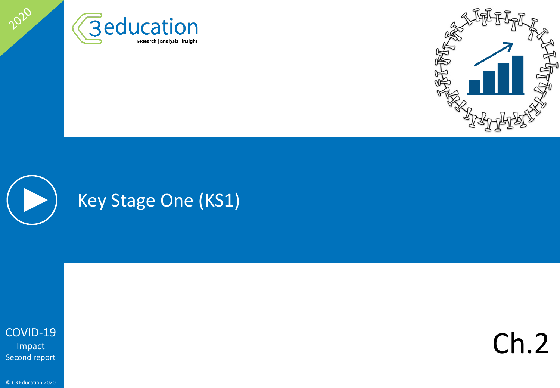





2020

Ch.2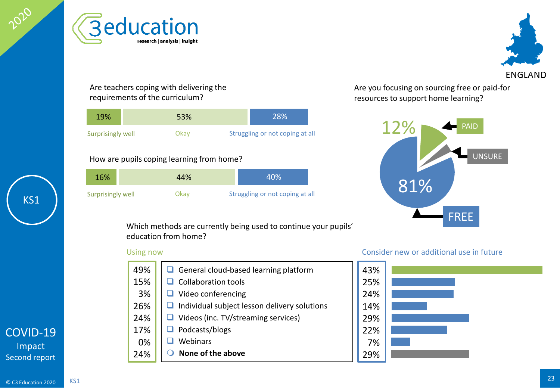



Are teachers coping with delivering the requirements of the curriculum?

research | analysis | insight

**Beducation** 

| 19%               | 53%  | 28%                             |
|-------------------|------|---------------------------------|
| Surprisingly well | Okav | Struggling or not coping at all |

## How are pupils coping learning from home?

| 16%               | 44%  | 40%                             |     |
|-------------------|------|---------------------------------|-----|
| Surprisingly well | )kav | Struggling or not coping at all | 81% |

Are you focusing on sourcing free or paid-for resources to support home learning?



Which methods are currently being used to continue your pupils' education from home?

| 49% | $\Box$ General cloud-based learning platform        |
|-----|-----------------------------------------------------|
| 15% | Collaboration tools                                 |
| 3%  | $\Box$ Video conferencing                           |
| 26% | $\Box$ Individual subject lesson delivery solutions |
| 24% | $\Box$ Videos (inc. TV/streaming services)          |
| 17% | $\Box$ Podcasts/blogs                               |
| 0%  | Webinars                                            |
| 24% | None of the above                                   |

## Using now Consider new or additional use in future

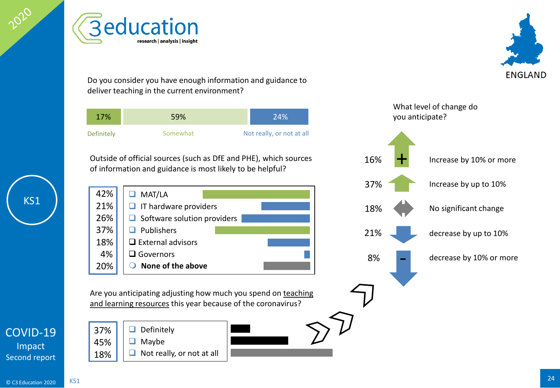

□ Governors 4% 20% and learning resources this year because of the coronavirus?

**Beducation** 

research | analysis | insight

[COVID-19](#page-1-0) Impact Second report

 $\Box$  Definitely  $\Box$  Maybe 37% 45% 18%

 $\Box$  Not really, or not at all



 $\Box$  MAT/LA  $\Box$  IT hardware providers  $\Box$  Software solution providers  $\Box$  Publishers  $\square$  External advisors 42% 21% 26% 37% 18%

- Outside of official sources (such as DfE and PHE), which sources of information and guidance is most likely to be helpful?
- 

Definitely **Somewhat** Not really, or not at all 17% 59% 24%

Do you consider you have enough information and guidance to deliver teaching in the current environment?



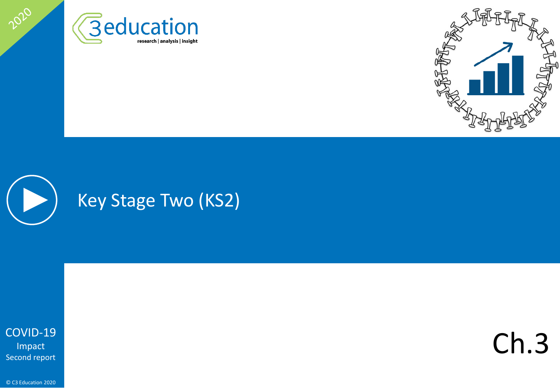





2020

Ch.3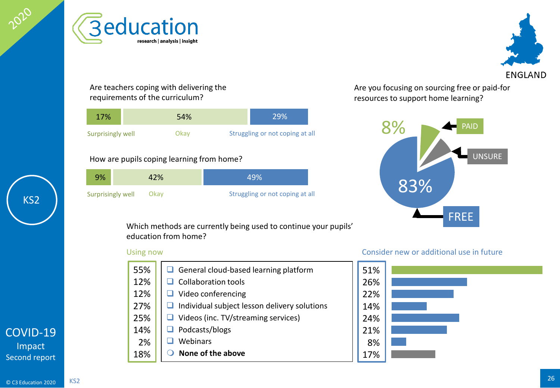<span id="page-25-0"></span>





Are teachers coping with delivering the requirements of the curriculum?

| 17%               | 54%  | <b>29%</b>                      |
|-------------------|------|---------------------------------|
| Surprisingly well | Okav | Struggling or not coping at all |

## How are pupils coping learning from home?

| 9%                | 42%  | 49%                             |     |  |
|-------------------|------|---------------------------------|-----|--|
| Surprisingly well | Okav | Struggling or not coping at all | 83% |  |

Are you focusing on sourcing free or paid-for resources to support home learning?



Which methods are currently being used to continue your pupils' education from home?

| 55% | $\Box$ General cloud-based learning platform        |
|-----|-----------------------------------------------------|
| 12% | Collaboration tools                                 |
| 12% | $\Box$ Video conferencing                           |
| 27% | $\Box$ Individual subject lesson delivery solutions |
| 25% | $\Box$ Videos (inc. TV/streaming services)          |
| 14% | $\Box$ Podcasts/blogs                               |
| 2%  | Webinars                                            |
| 18% | None of the above                                   |

## Using now Consider new or additional use in future

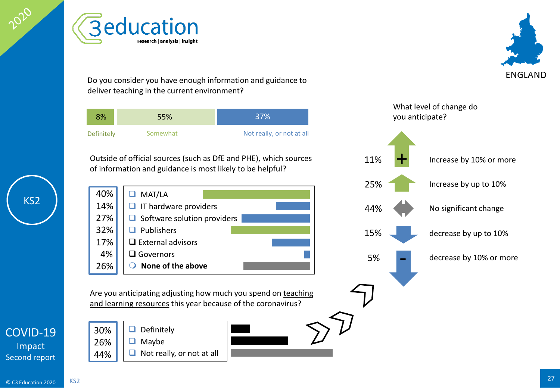

 $\Box$  MAT/LA

40% 14% 27% 32% 17% 4% 26%

 $\Box$  Publishers

□ Governors

 $\square$  External advisors

**None of the above**

Outside of official sources (such as DfE and PHE), which sources

Definitely Somewhat Not really, or not at all

Do you consider you have enough information and guidance to

Are you anticipating adjusting how much you spend on teaching and learning resources this year because of the coronavirus?

of information and guidance is most likely to be helpful?

8% 55% 37%

 $\Box$  IT hardware providers

deliver teaching in the current environment?

research | analysis | insight

**Beducation** 

 $\Box$  Software solution providers

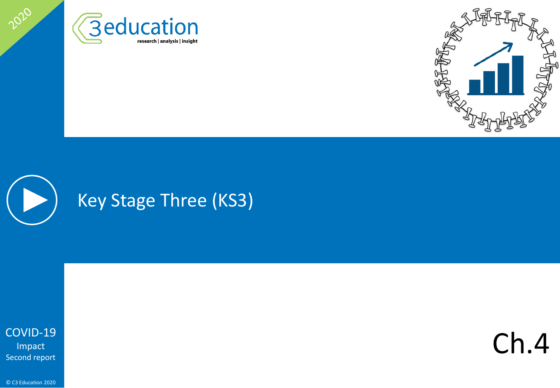





2020

Ch.4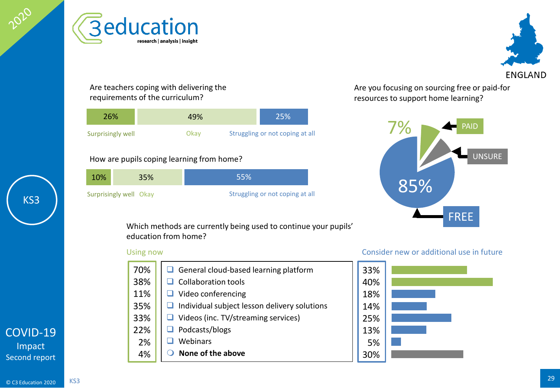







Are teachers coping with delivering the requirements of the curriculum?

| 26%               | 49%  | 25%                             |
|-------------------|------|---------------------------------|
| Surprisingly well | Okav | Struggling or not coping at all |

## How are pupils coping learning from home?

| 10%                    | 35% | 55%                             |     |
|------------------------|-----|---------------------------------|-----|
| Surprisingly well Okay |     | Struggling or not coping at all | 85% |

Are you focusing on sourcing free or paid-for resources to support home learning?



Which methods are currently being used to continue your pupils' education from home?

| 70% | $\Box$ General cloud-based learning platform        |
|-----|-----------------------------------------------------|
| 38% | $\Box$ Collaboration tools                          |
| 11% | $\Box$ Video conferencing                           |
| 35% | $\Box$ Individual subject lesson delivery solutions |
| 33% | $\Box$ Videos (inc. TV/streaming services)          |
| 22% | $\Box$ Podcasts/blogs                               |
| 2%  | Webinars                                            |
| 4%  | None of the above                                   |

### Using now Consider new or additional use in future

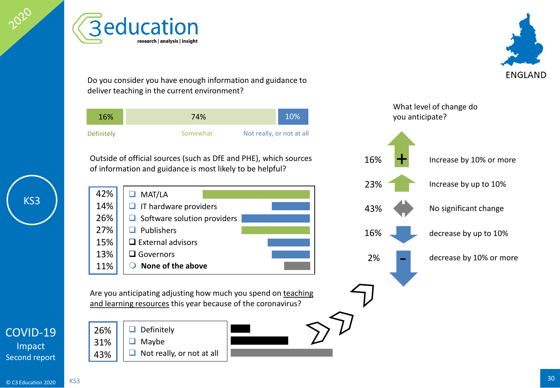



 $\Box$  MAT/LA

42% 14%

Are you anticipating adjusting how much you spend on teaching

Outside of official sources (such as DfE and PHE), which sources

Definitely **Somewhat** Not really, or not at all

16% 74% 10%

Do you consider you have enough information and guidance to

of information and guidance is most likely to be helpful?

 $\Box$  IT hardware providers

deliver teaching in the current environment?

research | analysis | insight

**Beducation** 

 $\Box$  Definitely  $\Box$  Maybe  $\Box$  Not really, or not at all 26% 31% 43%





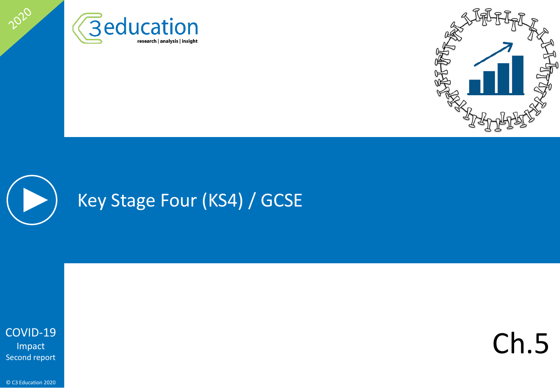





2020

Ch.5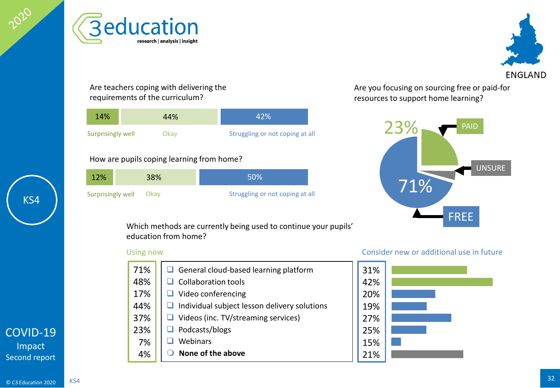







Are teachers coping with delivering the requirements of the curriculum?

| 14%               | 44%  | 42%                             |
|-------------------|------|---------------------------------|
| Surprisingly well | Okav | Struggling or not coping at all |

## How are pupils coping learning from home?

| 12%                    | 38% | 50%                             |     |
|------------------------|-----|---------------------------------|-----|
| Surprisingly well Okay |     | Struggling or not coping at all | 71% |

Are you focusing on sourcing free or paid-for resources to support home learning?



Which methods are currently being used to continue your pupils' education from home?

| 71% | General cloud-based learning platform        |
|-----|----------------------------------------------|
| 48% | Collaboration tools                          |
| 17% | Video conferencing                           |
| 44% | Individual subject lesson delivery solutions |
| 37% | Videos (inc. TV/streaming services)          |
| 23% | Podcasts/blogs                               |
| 7%  | Webinars                                     |
| 4%  | None of the above                            |

## Using now Consider new or additional use in future

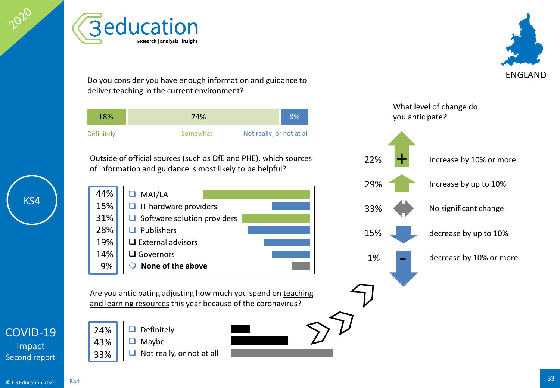



Do you consider you have enough information and guidance to deliver teaching in the current environment?

**Beducation** 

research | analysis | insight

| 18%        | 74%                                   | 8% |
|------------|---------------------------------------|----|
| Definitely | Not really, or not at all<br>Somewhat |    |

Outside of official sources (such as DfE and PHE), which sources of information and guidance is most likely to be helpful?

**O** MAT/LA  $\Box$  IT hardware providers  $\Box$  Software solution providers  $\Box$  Publishers  $\square$  External advisors □ Governors **None of the above** 44% 15% 31% 28% 19% 14% 9%

Are you anticipating adjusting how much you spend on teaching and learning resources this year because of the coronavirus?

- -



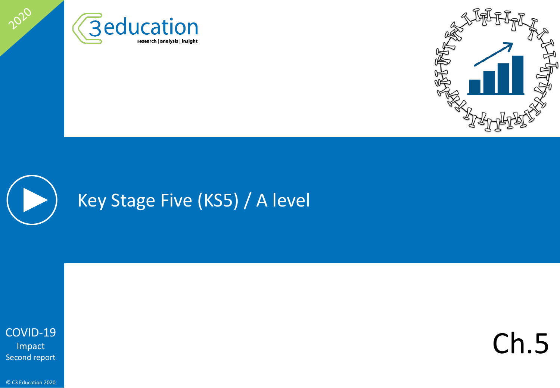





2020

Ch.5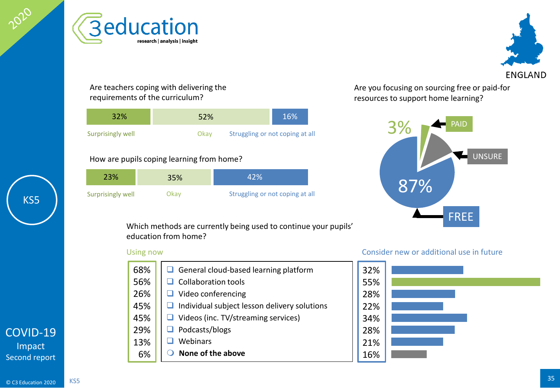





research | analysis | insight

| 32%               | 52%                                     | 16% |  |
|-------------------|-----------------------------------------|-----|--|
| Surprisingly well | Struggling or not coping at all<br>Okav |     |  |

## How are pupils coping learning from home?

| 23%               | 35%   | 42%                             |     |
|-------------------|-------|---------------------------------|-----|
| Surprisingly well | .Jkav | Struggling or not coping at all | 87% |



Are you focusing on sourcing free or paid-for resources to support home learning?



Which methods are currently being used to continue your pupils' education from home?

| 68% | $\Box$ General cloud-based learning platform        |
|-----|-----------------------------------------------------|
| 56% | $\Box$ Collaboration tools                          |
| 26% | $\Box$ Video conferencing                           |
| 45% | $\Box$ Individual subject lesson delivery solutions |
| 45% | $\Box$ Videos (inc. TV/streaming services)          |
| 29% | $\Box$ Podcasts/blogs                               |
| 13% | Webinars                                            |
| 6%  | None of the above                                   |

## Using now Consider new or additional use in future

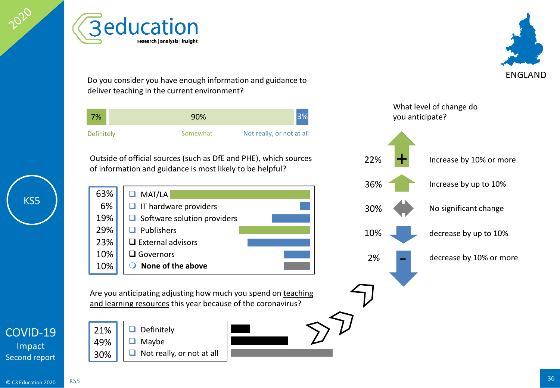

**Beducation** research | analysis | insight

Do you consider you have enough information and guidance to deliver teaching in the current environment?

| 7%         | 90%      |                           |
|------------|----------|---------------------------|
| Definitely | Somewhat | Not really, or not at all |

Outside of official sources (such as DfE and PHE), which sources of information and guidance is most likely to be helpful?



Are you anticipating adjusting how much you spend on teaching and learning resources this year because of the coronavirus?

[COVID-19](#page-1-0) Impact Second report





21% 49% 30% **ENGLAND**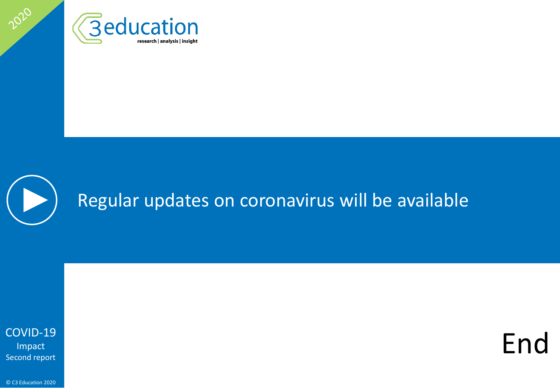



<span id="page-36-0"></span>2020

End